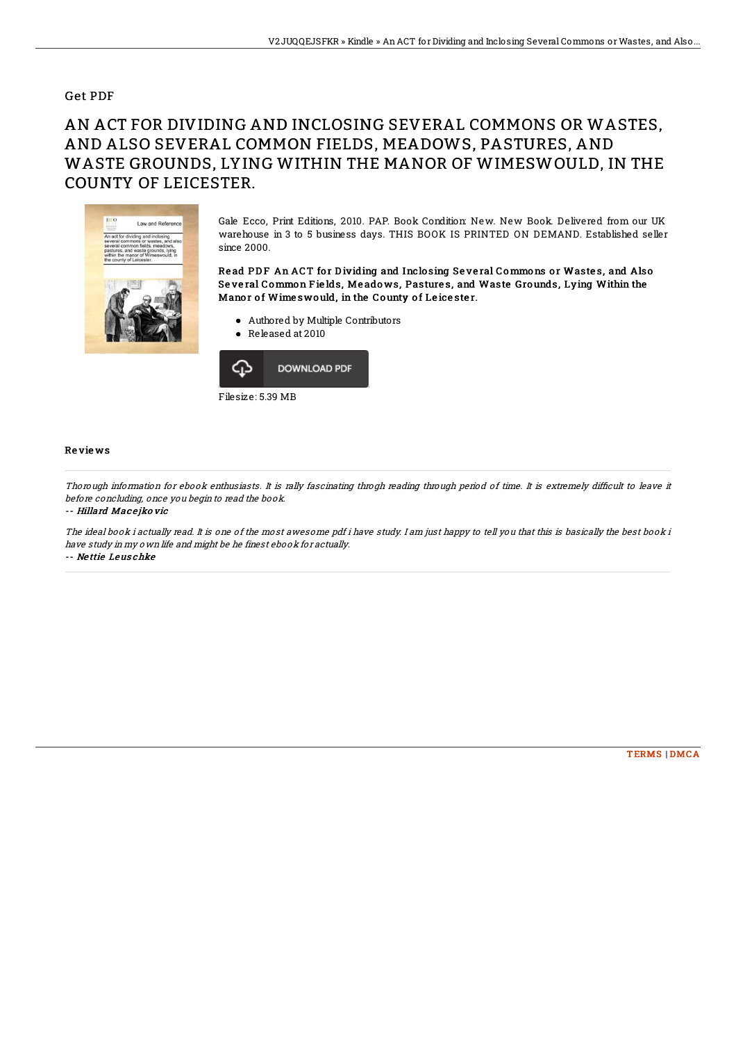### Get PDF

# AN ACT FOR DIVIDING AND INCLOSING SEVERAL COMMONS OR WASTES, AND ALSO SEVERAL COMMON FIELDS, MEADOWS, PASTURES, AND WASTE GROUNDS, LYING WITHIN THE MANOR OF WIMESWOULD, IN THE COUNTY OF LEICESTER.



Gale Ecco, Print Editions, 2010. PAP. Book Condition: New. New Book. Delivered from our UK warehouse in 3 to 5 business days. THIS BOOK IS PRINTED ON DEMAND. Established seller since 2000.

#### Read PDF An ACT for Dividing and Inclosing Several Commons or Wastes, and Also Se ve ral Common F ie lds, Me ado ws, Pasture s, and Waste Grounds, Lying Within the Manor of Wime swould, in the County of Leicester.

- Authored by Multiple Contributors
- Released at 2010



#### Re vie ws

Thorough information for ebook enthusiasts. It is rally fascinating throgh reading through period of time. It is extremely difficult to leave it before concluding, once you begin to read the book.

-- Hillard Mac <sup>e</sup> jko vic

The ideal book i actually read. It is one of the most awesome pdf i have study. I am just happy to tell you that this is basically the best book i have study in my own life and might be he finest ebook for actually.

-- Ne ttie Leus chke